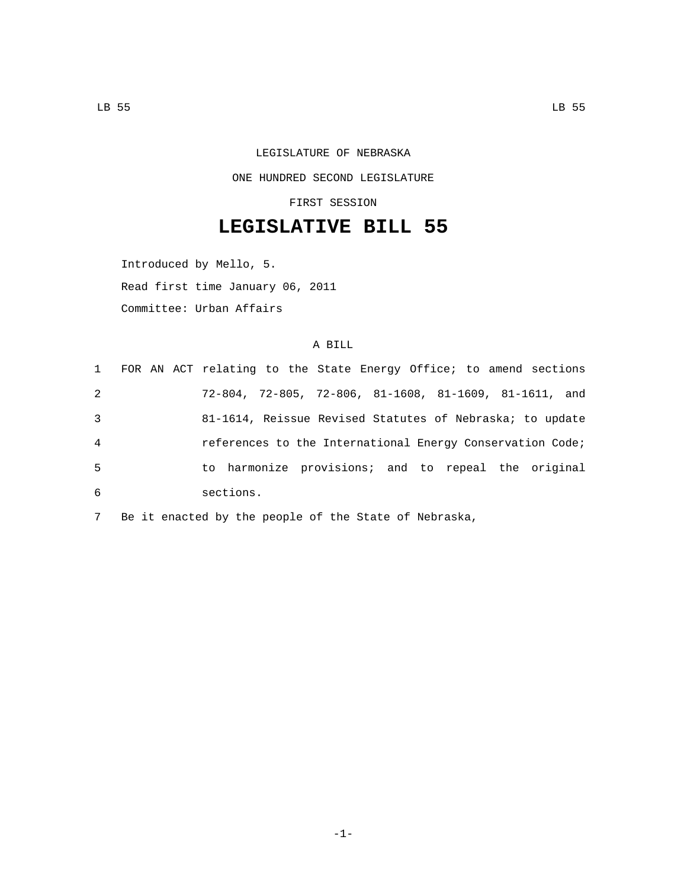## LEGISLATURE OF NEBRASKA ONE HUNDRED SECOND LEGISLATURE

FIRST SESSION

## **LEGISLATIVE BILL 55**

Introduced by Mello, 5.

Read first time January 06, 2011

Committee: Urban Affairs

## A BILL

|                |  |  |           |  | 1 FOR AN ACT relating to the State Energy Office; to amend sections      |  |  |  |  |
|----------------|--|--|-----------|--|--------------------------------------------------------------------------|--|--|--|--|
| 2              |  |  |           |  | $72-804$ , $72-805$ , $72-806$ , $81-1608$ , $81-1609$ , $81-1611$ , and |  |  |  |  |
| 3              |  |  |           |  | 81-1614, Reissue Revised Statutes of Nebraska; to update                 |  |  |  |  |
| $\overline{4}$ |  |  |           |  | references to the International Energy Conservation Code;                |  |  |  |  |
| 5              |  |  |           |  | to harmonize provisions; and to repeal the original                      |  |  |  |  |
| 6              |  |  | sections. |  |                                                                          |  |  |  |  |

7 Be it enacted by the people of the State of Nebraska,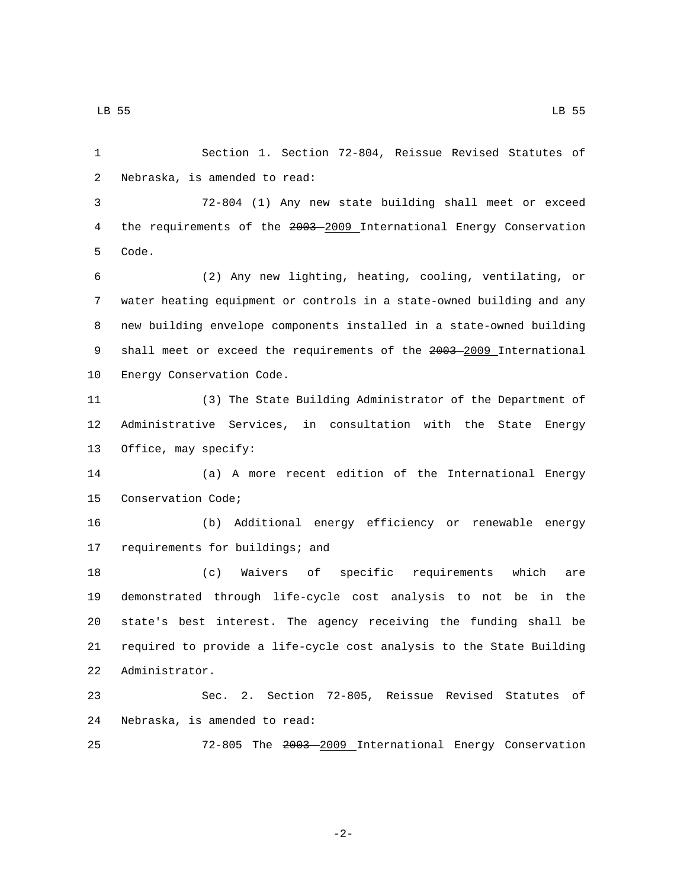1 Section 1. Section 72-804, Reissue Revised Statutes of 2 Nebraska, is amended to read:

3 72-804 (1) Any new state building shall meet or exceed 4 the requirements of the 2003-2009 International Energy Conservation 5 Code.

6 (2) Any new lighting, heating, cooling, ventilating, or 7 water heating equipment or controls in a state-owned building and any 8 new building envelope components installed in a state-owned building 9 shall meet or exceed the requirements of the 2003-2009 International 10 Energy Conservation Code.

11 (3) The State Building Administrator of the Department of 12 Administrative Services, in consultation with the State Energy 13 Office, may specify:

14 (a) A more recent edition of the International Energy 15 Conservation Code;

16 (b) Additional energy efficiency or renewable energy 17 requirements for buildings; and

 (c) Waivers of specific requirements which are demonstrated through life-cycle cost analysis to not be in the state's best interest. The agency receiving the funding shall be required to provide a life-cycle cost analysis to the State Building 22 Administrator.

23 Sec. 2. Section 72-805, Reissue Revised Statutes of 24 Nebraska, is amended to read:

25 72-805 The 2003 2009 International Energy Conservation

-2-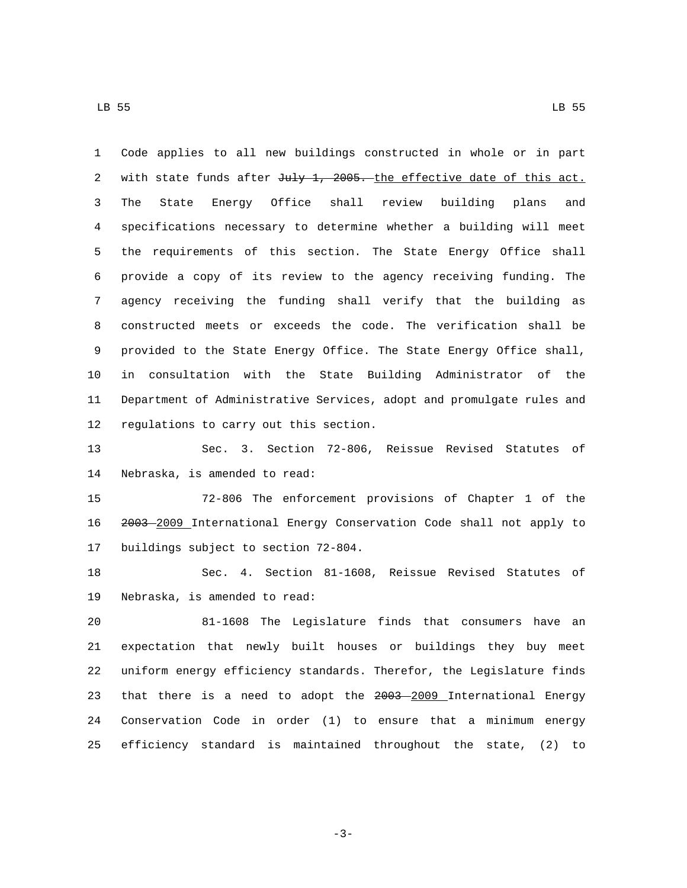Code applies to all new buildings constructed in whole or in part 2 with state funds after July 1, 2005. the effective date of this act. The State Energy Office shall review building plans and specifications necessary to determine whether a building will meet the requirements of this section. The State Energy Office shall provide a copy of its review to the agency receiving funding. The agency receiving the funding shall verify that the building as constructed meets or exceeds the code. The verification shall be provided to the State Energy Office. The State Energy Office shall, in consultation with the State Building Administrator of the Department of Administrative Services, adopt and promulgate rules and 12 regulations to carry out this section.

 Sec. 3. Section 72-806, Reissue Revised Statutes of 14 Nebraska, is amended to read:

 72-806 The enforcement provisions of Chapter 1 of the 2003 2009 International Energy Conservation Code shall not apply to 17 buildings subject to section 72-804.

 Sec. 4. Section 81-1608, Reissue Revised Statutes of 19 Nebraska, is amended to read:

 81-1608 The Legislature finds that consumers have an expectation that newly built houses or buildings they buy meet uniform energy efficiency standards. Therefor, the Legislature finds 23 that there is a need to adopt the 2003 2009 International Energy Conservation Code in order (1) to ensure that a minimum energy efficiency standard is maintained throughout the state, (2) to

LB 55 LB 55

-3-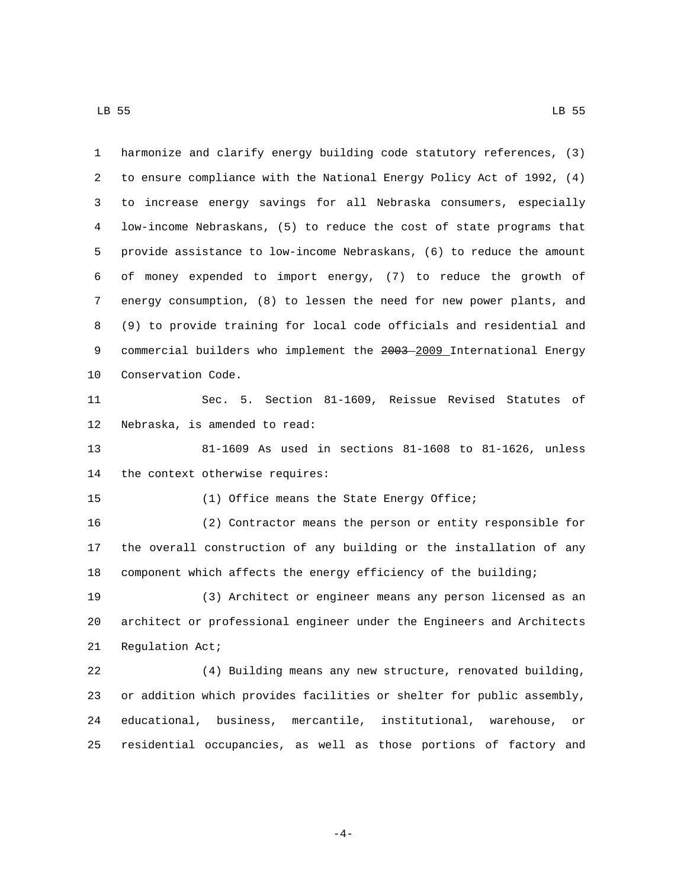harmonize and clarify energy building code statutory references, (3) to ensure compliance with the National Energy Policy Act of 1992, (4) to increase energy savings for all Nebraska consumers, especially low-income Nebraskans, (5) to reduce the cost of state programs that provide assistance to low-income Nebraskans, (6) to reduce the amount of money expended to import energy, (7) to reduce the growth of energy consumption, (8) to lessen the need for new power plants, and (9) to provide training for local code officials and residential and 9 commercial builders who implement the 2003-2009 International Energy 10 Conservation Code. Sec. 5. Section 81-1609, Reissue Revised Statutes of 12 Nebraska, is amended to read: 81-1609 As used in sections 81-1608 to 81-1626, unless 14 the context otherwise requires: 15 (1) Office means the State Energy Office; (2) Contractor means the person or entity responsible for the overall construction of any building or the installation of any component which affects the energy efficiency of the building; (3) Architect or engineer means any person licensed as an architect or professional engineer under the Engineers and Architects 21 Regulation Act; (4) Building means any new structure, renovated building, or addition which provides facilities or shelter for public assembly, educational, business, mercantile, institutional, warehouse, or residential occupancies, as well as those portions of factory and

-4-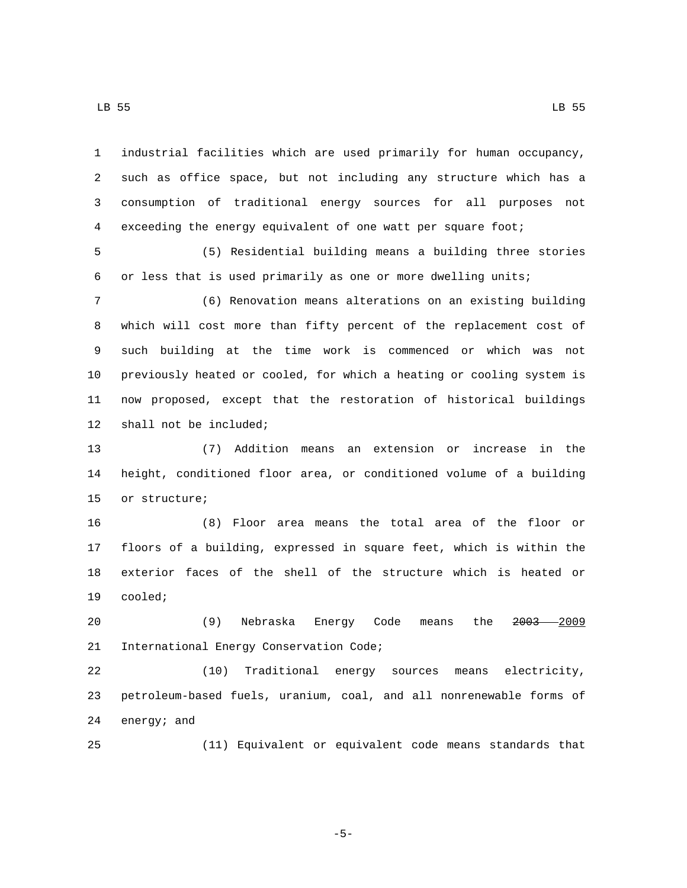industrial facilities which are used primarily for human occupancy, such as office space, but not including any structure which has a consumption of traditional energy sources for all purposes not exceeding the energy equivalent of one watt per square foot;

 (5) Residential building means a building three stories or less that is used primarily as one or more dwelling units;

 (6) Renovation means alterations on an existing building which will cost more than fifty percent of the replacement cost of such building at the time work is commenced or which was not previously heated or cooled, for which a heating or cooling system is now proposed, except that the restoration of historical buildings 12 shall not be included;

 (7) Addition means an extension or increase in the height, conditioned floor area, or conditioned volume of a building 15 or structure;

 (8) Floor area means the total area of the floor or floors of a building, expressed in square feet, which is within the exterior faces of the shell of the structure which is heated or 19 cooled;

 (9) Nebraska Energy Code means the 2003 2009 21 International Energy Conservation Code;

 (10) Traditional energy sources means electricity, petroleum-based fuels, uranium, coal, and all nonrenewable forms of 24 energy; and

(11) Equivalent or equivalent code means standards that

-5-